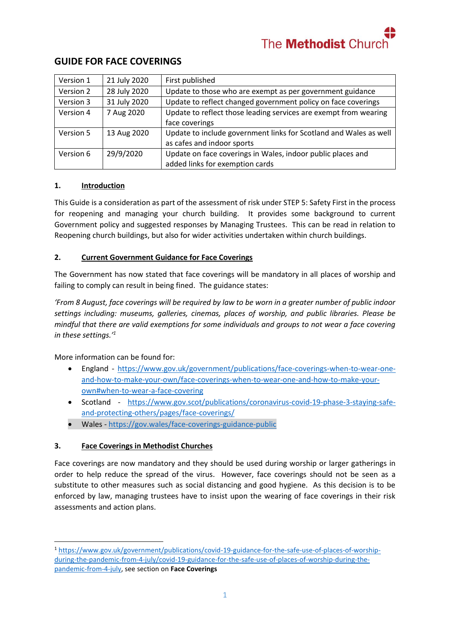

| Version 1 | 21 July 2020 | First published                                                   |
|-----------|--------------|-------------------------------------------------------------------|
| Version 2 | 28 July 2020 | Update to those who are exempt as per government guidance         |
| Version 3 | 31 July 2020 | Update to reflect changed government policy on face coverings     |
| Version 4 | 7 Aug 2020   | Update to reflect those leading services are exempt from wearing  |
|           |              | face coverings                                                    |
| Version 5 | 13 Aug 2020  | Update to include government links for Scotland and Wales as well |
|           |              | as cafes and indoor sports                                        |
| Version 6 | 29/9/2020    | Update on face coverings in Wales, indoor public places and       |
|           |              | added links for exemption cards                                   |

## **GUIDE FOR FACE COVERINGS**

## **1. Introduction**

This Guide is a consideration as part of the assessment of risk under STEP 5: Safety First in the process for reopening and managing your church building. It provides some background to current Government policy and suggested responses by Managing Trustees. This can be read in relation to Reopening church buildings, but also for wider activities undertaken within church buildings.

## **2. Current Government Guidance for Face Coverings**

The Government has now stated that face coverings will be mandatory in all places of worship and failing to comply can result in being fined. The guidance states:

*'From 8 August, face coverings will be required by law to be worn in a greater number of public indoor settings including: museums, galleries, cinemas, places of worship, and public libraries. Please be mindful that there are valid exemptions for some individuals and groups to not wear a face covering in these settings.' 1*

More information can be found for:

1

- England [https://www.gov.uk/government/publications/face-coverings-when-to-wear-one](https://www.gov.uk/government/publications/face-coverings-when-to-wear-one-and-how-to-make-your-own/face-coverings-when-to-wear-one-and-how-to-make-your-own#when-to-wear-a-face-covering)[and-how-to-make-your-own/face-coverings-when-to-wear-one-and-how-to-make-your](https://www.gov.uk/government/publications/face-coverings-when-to-wear-one-and-how-to-make-your-own/face-coverings-when-to-wear-one-and-how-to-make-your-own#when-to-wear-a-face-covering)[own#when-to-wear-a-face-covering](https://www.gov.uk/government/publications/face-coverings-when-to-wear-one-and-how-to-make-your-own/face-coverings-when-to-wear-one-and-how-to-make-your-own#when-to-wear-a-face-covering)
- Scotland [https://www.gov.scot/publications/coronavirus-covid-19-phase-3-staying-safe](https://www.gov.scot/publications/coronavirus-covid-19-phase-3-staying-safe-and-protecting-others/pages/face-coverings/)[and-protecting-others/pages/face-coverings/](https://www.gov.scot/publications/coronavirus-covid-19-phase-3-staying-safe-and-protecting-others/pages/face-coverings/)
- Wales <https://gov.wales/face-coverings-guidance-public>

## **3. Face Coverings in Methodist Churches**

Face coverings are now mandatory and they should be used during worship or larger gatherings in order to help reduce the spread of the virus. However, face coverings should not be seen as a substitute to other measures such as social distancing and good hygiene. As this decision is to be enforced by law, managing trustees have to insist upon the wearing of face coverings in their risk assessments and action plans.

<sup>1</sup> [https://www.gov.uk/government/publications/covid-19-guidance-for-the-safe-use-of-places-of-worship](https://www.gov.uk/government/publications/covid-19-guidance-for-the-safe-use-of-places-of-worship-during-the-pandemic-from-4-july/covid-19-guidance-for-the-safe-use-of-places-of-worship-during-the-pandemic-from-4-july)[during-the-pandemic-from-4-july/covid-19-guidance-for-the-safe-use-of-places-of-worship-during-the](https://www.gov.uk/government/publications/covid-19-guidance-for-the-safe-use-of-places-of-worship-during-the-pandemic-from-4-july/covid-19-guidance-for-the-safe-use-of-places-of-worship-during-the-pandemic-from-4-july)[pandemic-from-4-july,](https://www.gov.uk/government/publications/covid-19-guidance-for-the-safe-use-of-places-of-worship-during-the-pandemic-from-4-july/covid-19-guidance-for-the-safe-use-of-places-of-worship-during-the-pandemic-from-4-july) see section on **Face Coverings**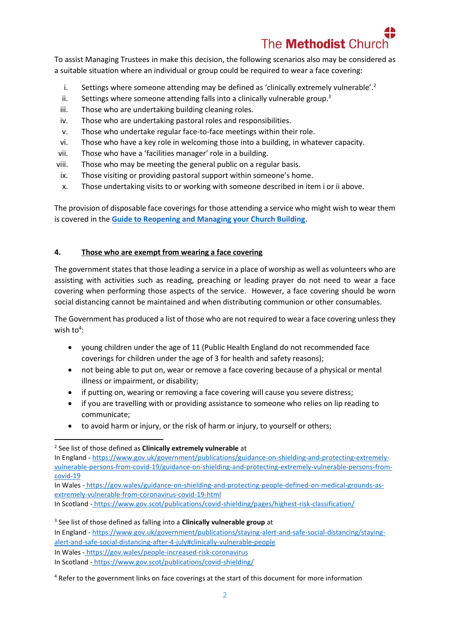# The **Methodist** Chu

To assist Managing Trustees in make this decision, the following scenarios also may be considered as a suitable situation where an individual or group could be required to wear a face covering:

- i. Settings where someone attending may be defined as 'clinically extremely vulnerable'.<sup>2</sup>
- ii. Settings where someone attending falls into a clinically vulnerable group.<sup>3</sup>
- iii. Those who are undertaking building cleaning roles.
- iv. Those who are undertaking pastoral roles and responsibilities.
- v. Those who undertake regular face-to-face meetings within their role.
- vi. Those who have a key role in welcoming those into a building, in whatever capacity.
- vii. Those who have a 'facilities manager' role in a building.
- viii. Those who may be meeting the general public on a regular basis.
- ix. Those visiting or providing pastoral support within someone's home.
- x. Those undertaking visits to or working with someone described in item i or ii above.

The provision of disposable face coverings for those attending a service who might wish to wear them is covered in the **[Guide to Reopening and Managing your Church Building](https://www.methodist.org.uk/for-churches/property/coronavirus-guidance-for-property/)**.

## **4. Those who are exempt from wearing a face covering**

The government states that those leading a service in a place of worship as well as volunteers who are assisting with activities such as reading, preaching or leading prayer do not need to wear a face covering when performing those aspects of the service. However, a face covering should be worn social distancing cannot be maintained and when distributing communion or other consumables.

The Government has produced a list of those who are not required to wear a face covering unless they wish to<sup>4</sup>:

- young children under the age of 11 (Public Health England do not recommended face coverings for children under the age of 3 for health and safety reasons);
- not being able to put on, wear or remove a face covering because of a physical or mental illness or impairment, or disability;
- if putting on, wearing or removing a face covering will cause you severe distress;
- if you are travelling with or providing assistance to someone who relies on lip reading to communicate;
- to avoid harm or injury, or the risk of harm or injury, to yourself or others;

 $\overline{a}$ 

In Wales - [https://gov.wales/guidance-on-shielding-and-protecting-people-defined-on-medical-grounds-as](https://gov.wales/guidance-on-shielding-and-protecting-people-defined-on-medical-grounds-as-extremely-vulnerable-from-coronavirus-covid-19-html)[extremely-vulnerable-from-coronavirus-covid-19-html](https://gov.wales/guidance-on-shielding-and-protecting-people-defined-on-medical-grounds-as-extremely-vulnerable-from-coronavirus-covid-19-html)

In Scotland - <https://www.gov.scot/publications/covid-shielding/pages/highest-risk-classification/>

3 See list of those defined as falling into a **Clinically vulnerable group** at In England - [https://www.gov.uk/government/publications/staying-alert-and-safe-social-distancing/staying](https://www.gov.uk/government/publications/staying-alert-and-safe-social-distancing/staying-alert-and-safe-social-distancing-after-4-july#clinically-vulnerable-people)[alert-and-safe-social-distancing-after-4-july#clinically-vulnerable-people](https://www.gov.uk/government/publications/staying-alert-and-safe-social-distancing/staying-alert-and-safe-social-distancing-after-4-july#clinically-vulnerable-people) In Wales - <https://gov.wales/people-increased-risk-coronavirus> In Scotland - https://www.gov.scot/publications/covid-shielding/

<sup>2</sup> See list of those defined as **Clinically extremely vulnerable** at

In England - [https://www.gov.uk/government/publications/guidance-on-shielding-and-protecting-extremely](https://www.gov.uk/government/publications/guidance-on-shielding-and-protecting-extremely-vulnerable-persons-from-covid-19/guidance-on-shielding-and-protecting-extremely-vulnerable-persons-from-covid-19)[vulnerable-persons-from-covid-19/guidance-on-shielding-and-protecting-extremely-vulnerable-persons-from](https://www.gov.uk/government/publications/guidance-on-shielding-and-protecting-extremely-vulnerable-persons-from-covid-19/guidance-on-shielding-and-protecting-extremely-vulnerable-persons-from-covid-19)[covid-19](https://www.gov.uk/government/publications/guidance-on-shielding-and-protecting-extremely-vulnerable-persons-from-covid-19/guidance-on-shielding-and-protecting-extremely-vulnerable-persons-from-covid-19)

<sup>4</sup> Refer to the government links on face coverings at the start of this document for more information